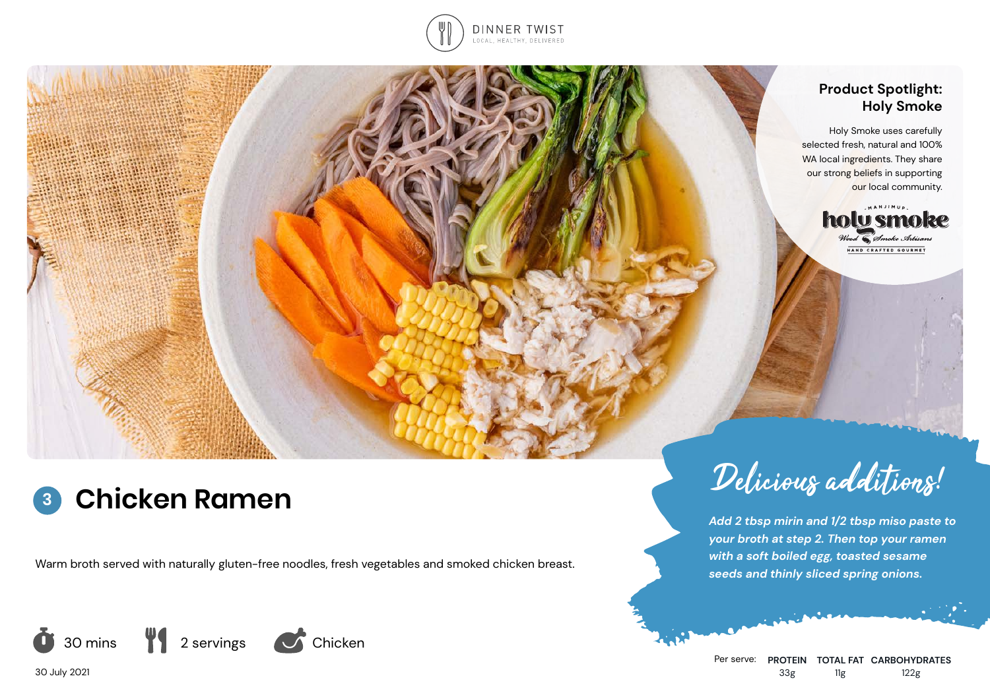

### **Product Spotlight: Holy Smoke**

Holy Smoke uses carefully selected fresh, natural and 100% WA local ingredients. They share our strong beliefs in supporting our local community.



**Chicken Ramen 3**

Warm broth served with naturally gluten-free noodles, fresh vegetables and smoked chicken breast.



Per serve: **PROTEIN TOTAL FAT CARBOHYDRATES** 33g 11g 122g

*Add 2 tbsp mirin and 1/2 tbsp miso paste to your broth at step 2. Then top your ramen with a soft boiled egg, toasted sesame seeds and thinly sliced spring onions.*

30 July 2021